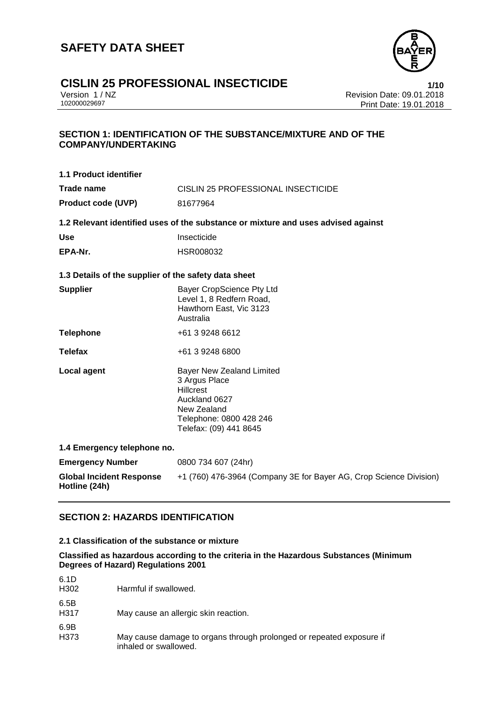

# **CISLIN 25 PROFESSIONAL INSECTICIDE**<br>
Version 1/NZ<br>
Revision Date: 09.01.2018

Version 1 / NZ Revision Date: 09.01.2018 Print Date: 19.01.2018

### **SECTION 1: IDENTIFICATION OF THE SUBSTANCE/MIXTURE AND OF THE COMPANY/UNDERTAKING**

| 1.1 Product identifier                               |                                                                                                                                                            |  |
|------------------------------------------------------|------------------------------------------------------------------------------------------------------------------------------------------------------------|--|
| <b>Trade name</b>                                    | CISLIN 25 PROFESSIONAL INSECTICIDE                                                                                                                         |  |
| <b>Product code (UVP)</b>                            | 81677964                                                                                                                                                   |  |
|                                                      | 1.2 Relevant identified uses of the substance or mixture and uses advised against                                                                          |  |
| <b>Use</b>                                           | Insecticide                                                                                                                                                |  |
| EPA-Nr.                                              | HSR008032                                                                                                                                                  |  |
| 1.3 Details of the supplier of the safety data sheet |                                                                                                                                                            |  |
| <b>Supplier</b>                                      | Bayer CropScience Pty Ltd<br>Level 1, 8 Redfern Road,<br>Hawthorn East, Vic 3123<br>Australia                                                              |  |
| <b>Telephone</b>                                     | +61 3 9248 6612                                                                                                                                            |  |
| <b>Telefax</b>                                       | +61 3 9248 6800                                                                                                                                            |  |
| <b>Local agent</b>                                   | <b>Bayer New Zealand Limited</b><br>3 Argus Place<br><b>Hillcrest</b><br>Auckland 0627<br>New Zealand<br>Telephone: 0800 428 246<br>Telefax: (09) 441 8645 |  |
| 1.4 Emergency telephone no.                          |                                                                                                                                                            |  |
| <b>Emergency Number</b>                              | 0800 734 607 (24hr)                                                                                                                                        |  |
| <b>Global Incident Response</b><br>Hotline (24h)     | +1 (760) 476-3964 (Company 3E for Bayer AG, Crop Science Division)                                                                                         |  |

### **SECTION 2: HAZARDS IDENTIFICATION**

### **2.1 Classification of the substance or mixture**

### **Classified as hazardous according to the criteria in the Hazardous Substances (Minimum Degrees of Hazard) Regulations 2001**

| 6.1D<br>H <sub>302</sub> | Harmful if swallowed.                                                                         |
|--------------------------|-----------------------------------------------------------------------------------------------|
| 6.5B<br>H317             | May cause an allergic skin reaction.                                                          |
| 6.9B<br>H373             | May cause damage to organs through prolonged or repeated exposure if<br>inhaled or swallowed. |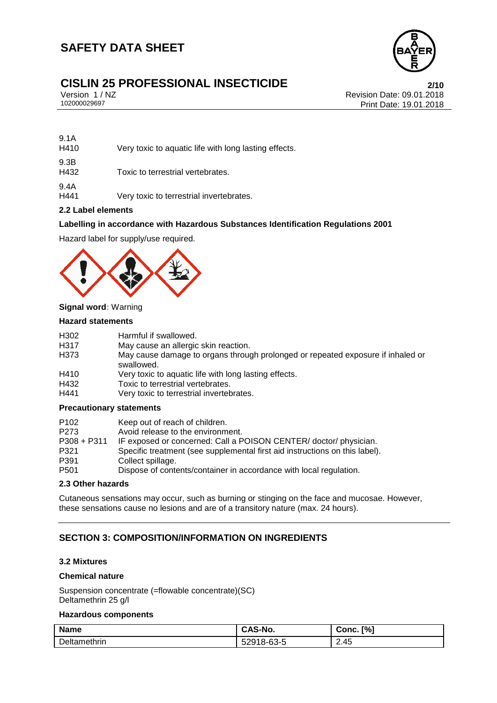

# **CISLIN 25 PROFESSIONAL INSECTICIDE**<br>Version 1/NZ<br>Revision Date: 09.01.2018

9.1A

Version 1 / NZ Revision Date: 09.01.2018 Print Date: 19.01.2018

| 9.1A<br>H410 | Very toxic to aquatic life with long lasting effects. |
|--------------|-------------------------------------------------------|
| 9.3B<br>H432 | Toxic to terrestrial vertebrates.                     |
| 9.4A<br>H441 | Very toxic to terrestrial invertebrates.              |

### **2.2 Label elements**

### **Labelling in accordance with Hazardous Substances Identification Regulations 2001**

Hazard label for supply/use required.



### **Signal word:** Warning

### **Hazard statements**

| H <sub>302</sub> | Harmful if swallowed.                                                                         |
|------------------|-----------------------------------------------------------------------------------------------|
| H317             | May cause an allergic skin reaction.                                                          |
| H373             | May cause damage to organs through prolonged or repeated exposure if inhaled or<br>swallowed. |
| H410             | Very toxic to aquatic life with long lasting effects.                                         |
| H432             | Toxic to terrestrial vertebrates.                                                             |
| H441             | Very toxic to terrestrial invertebrates.                                                      |

### **Precautionary statements**

| P <sub>102</sub> | Keep out of reach of children.                                              |
|------------------|-----------------------------------------------------------------------------|
| P <sub>273</sub> | Avoid release to the environment.                                           |
| $P308 + P311$    | IF exposed or concerned: Call a POISON CENTER/ doctor/ physician.           |
| P321             | Specific treatment (see supplemental first aid instructions on this label). |
| P391             | Collect spillage.                                                           |
| P <sub>501</sub> | Dispose of contents/container in accordance with local regulation.          |

### **2.3 Other hazards**

Cutaneous sensations may occur, such as burning or stinging on the face and mucosae. However, these sensations cause no lesions and are of a transitory nature (max. 24 hours).

### **SECTION 3: COMPOSITION/INFORMATION ON INGREDIENTS**

### **3.2 Mixtures**

### **Chemical nature**

Suspension concentrate (=flowable concentrate)(SC) Deltamethrin 25 g/l

### **Hazardous components**

| <b>Name</b>  | CAS-No.    | [%]<br>Conc.   |
|--------------|------------|----------------|
| Deltamethrin | 52918-63-5 | 2.45<br>$\sim$ |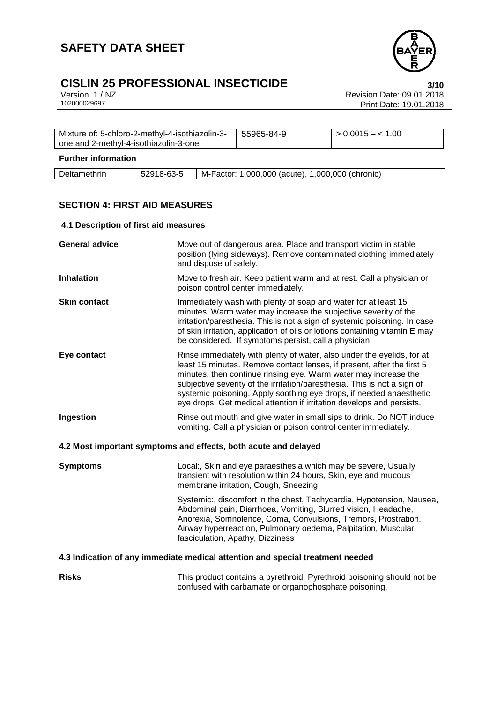# **CISLIN 25 PROFESSIONAL INSECTICIDE**<br>Version 1/NZ<br>102000029697<br>Print Date: 19.01.2018

Revision Date: 09.01.2018 Print Date: 19.01.2018

| Mixture of: 5-chloro-2-methyl-4-isothiazolin-3-<br>one and 2-methyl-4-isothiazolin-3-one |            | 55965-84-9 | $> 0.0015 - 1.00$                                |  |
|------------------------------------------------------------------------------------------|------------|------------|--------------------------------------------------|--|
| <b>Further information</b>                                                               |            |            |                                                  |  |
| Deltamethrin                                                                             | 52918-63-5 |            | M-Factor: 1,000,000 (acute), 1,000,000 (chronic) |  |

### **SECTION 4: FIRST AID MEASURES**

### **4.1 Description of first aid measures**

| <b>General advice</b>                                                          | Move out of dangerous area. Place and transport victim in stable<br>position (lying sideways). Remove contaminated clothing immediately<br>and dispose of safely.                                                                                                                                                                                                                                                                               |  |
|--------------------------------------------------------------------------------|-------------------------------------------------------------------------------------------------------------------------------------------------------------------------------------------------------------------------------------------------------------------------------------------------------------------------------------------------------------------------------------------------------------------------------------------------|--|
| <b>Inhalation</b>                                                              | Move to fresh air. Keep patient warm and at rest. Call a physician or<br>poison control center immediately.                                                                                                                                                                                                                                                                                                                                     |  |
| <b>Skin contact</b>                                                            | Immediately wash with plenty of soap and water for at least 15<br>minutes. Warm water may increase the subjective severity of the<br>irritation/paresthesia. This is not a sign of systemic poisoning. In case<br>of skin irritation, application of oils or lotions containing vitamin E may<br>be considered. If symptoms persist, call a physician.                                                                                          |  |
| Eye contact                                                                    | Rinse immediately with plenty of water, also under the eyelids, for at<br>least 15 minutes. Remove contact lenses, if present, after the first 5<br>minutes, then continue rinsing eye. Warm water may increase the<br>subjective severity of the irritation/paresthesia. This is not a sign of<br>systemic poisoning. Apply soothing eye drops, if needed anaesthetic<br>eye drops. Get medical attention if irritation develops and persists. |  |
| Ingestion                                                                      | Rinse out mouth and give water in small sips to drink. Do NOT induce<br>vomiting. Call a physician or poison control center immediately.                                                                                                                                                                                                                                                                                                        |  |
| 4.2 Most important symptoms and effects, both acute and delayed                |                                                                                                                                                                                                                                                                                                                                                                                                                                                 |  |
| <b>Symptoms</b>                                                                | Local:, Skin and eye paraesthesia which may be severe, Usually<br>transient with resolution within 24 hours, Skin, eye and mucous<br>membrane irritation, Cough, Sneezing                                                                                                                                                                                                                                                                       |  |
|                                                                                | Systemic:, discomfort in the chest, Tachycardia, Hypotension, Nausea,<br>Abdominal pain, Diarrhoea, Vomiting, Blurred vision, Headache,<br>Anorexia, Somnolence, Coma, Convulsions, Tremors, Prostration,<br>Airway hyperreaction, Pulmonary oedema, Palpitation, Muscular<br>fasciculation, Apathy, Dizziness                                                                                                                                  |  |
| 4.3 Indication of any immediate medical attention and special treatment needed |                                                                                                                                                                                                                                                                                                                                                                                                                                                 |  |
| <b>Risks</b>                                                                   | This product contains a pyrethroid. Pyrethroid poisoning should not be<br>confused with carbamate or organophosphate poisoning.                                                                                                                                                                                                                                                                                                                 |  |

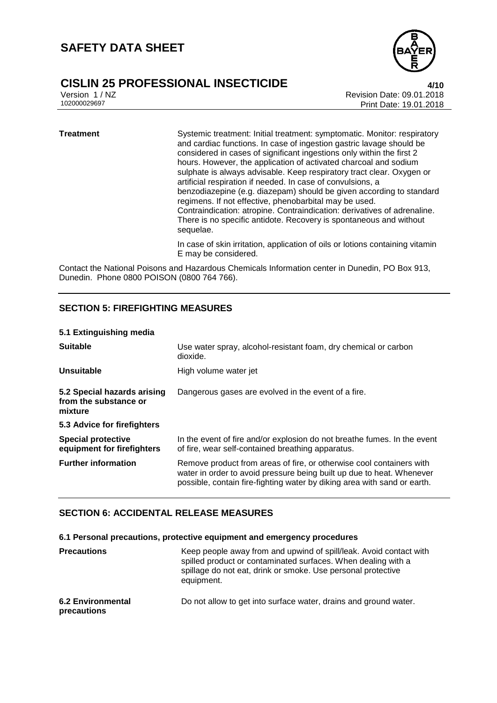## **CISLIN 25 PROFESSIONAL INSECTICIDE**<br>Version 1/NZ<br>Revision Date: 09.01.2018



Version 1 / NZ Revision Date: 09.01.2018 Print Date: 19.01.2018

### **Treatment** Systemic treatment: Initial treatment: symptomatic. Monitor: respiratory and cardiac functions. In case of ingestion gastric lavage should be considered in cases of significant ingestions only within the first 2 hours. However, the application of activated charcoal and sodium sulphate is always advisable. Keep respiratory tract clear. Oxygen or artificial respiration if needed. In case of convulsions, a benzodiazepine (e.g. diazepam) should be given according to standard regimens. If not effective, phenobarbital may be used. Contraindication: atropine. Contraindication: derivatives of adrenaline. There is no specific antidote. Recovery is spontaneous and without sequelae. In case of skin irritation, application of oils or lotions containing vitamin E may be considered.

Contact the National Poisons and Hazardous Chemicals Information center in Dunedin, PO Box 913, Dunedin. Phone 0800 POISON (0800 764 766).

### **SECTION 5: FIREFIGHTING MEASURES**

### **5.1 Extinguishing media**

| <b>Suitable</b>                                                 | Use water spray, alcohol-resistant foam, dry chemical or carbon<br>dioxide.                                                                                                                                               |
|-----------------------------------------------------------------|---------------------------------------------------------------------------------------------------------------------------------------------------------------------------------------------------------------------------|
| Unsuitable                                                      | High volume water jet                                                                                                                                                                                                     |
| 5.2 Special hazards arising<br>from the substance or<br>mixture | Dangerous gases are evolved in the event of a fire.                                                                                                                                                                       |
| 5.3 Advice for firefighters                                     |                                                                                                                                                                                                                           |
| <b>Special protective</b><br>equipment for firefighters         | In the event of fire and/or explosion do not breathe fumes. In the event<br>of fire, wear self-contained breathing apparatus.                                                                                             |
| <b>Further information</b>                                      | Remove product from areas of fire, or otherwise cool containers with<br>water in order to avoid pressure being built up due to heat. Whenever<br>possible, contain fire-fighting water by diking area with sand or earth. |

### **SECTION 6: ACCIDENTAL RELEASE MEASURES**

### **6.1 Personal precautions, protective equipment and emergency procedures**

| <b>Precautions</b>                      | Keep people away from and upwind of spill/leak. Avoid contact with<br>spilled product or contaminated surfaces. When dealing with a<br>spillage do not eat, drink or smoke. Use personal protective<br>equipment. |
|-----------------------------------------|-------------------------------------------------------------------------------------------------------------------------------------------------------------------------------------------------------------------|
| <b>6.2 Environmental</b><br>precautions | Do not allow to get into surface water, drains and ground water.                                                                                                                                                  |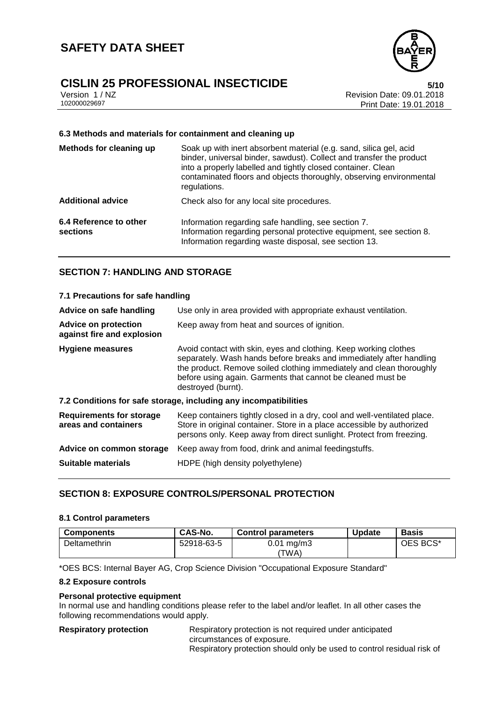# **CISLIN 25 PROFESSIONAL INSECTICIDE**<br>Version 1/NZ<br>Revision Date: 09.01.2018



Version 1 / NZ Revision Date: 09.01.2018 Print Date: 19.01.2018

### **6.3 Methods and materials for containment and cleaning up**

| Methods for cleaning up            | Soak up with inert absorbent material (e.g. sand, silica gel, acid<br>binder, universal binder, sawdust). Collect and transfer the product<br>into a properly labelled and tightly closed container. Clean<br>contaminated floors and objects thoroughly, observing environmental<br>regulations. |
|------------------------------------|---------------------------------------------------------------------------------------------------------------------------------------------------------------------------------------------------------------------------------------------------------------------------------------------------|
| <b>Additional advice</b>           | Check also for any local site procedures.                                                                                                                                                                                                                                                         |
| 6.4 Reference to other<br>sections | Information regarding safe handling, see section 7.<br>Information regarding personal protective equipment, see section 8.<br>Information regarding waste disposal, see section 13.                                                                                                               |

### **SECTION 7: HANDLING AND STORAGE**

| 7.1 Precautions for safe handling                                |                                                                                                                                                                                                                                                                                                      |  |
|------------------------------------------------------------------|------------------------------------------------------------------------------------------------------------------------------------------------------------------------------------------------------------------------------------------------------------------------------------------------------|--|
| Advice on safe handling                                          | Use only in area provided with appropriate exhaust ventilation.                                                                                                                                                                                                                                      |  |
| <b>Advice on protection</b><br>against fire and explosion        | Keep away from heat and sources of ignition.                                                                                                                                                                                                                                                         |  |
| <b>Hygiene measures</b>                                          | Avoid contact with skin, eyes and clothing. Keep working clothes<br>separately. Wash hands before breaks and immediately after handling<br>the product. Remove soiled clothing immediately and clean thoroughly<br>before using again. Garments that cannot be cleaned must be<br>destroyed (burnt). |  |
| 7.2 Conditions for safe storage, including any incompatibilities |                                                                                                                                                                                                                                                                                                      |  |
| <b>Requirements for storage</b><br>areas and containers          | Keep containers tightly closed in a dry, cool and well-ventilated place.<br>Store in original container. Store in a place accessible by authorized<br>persons only. Keep away from direct sunlight. Protect from freezing.                                                                           |  |
| Advice on common storage                                         | Keep away from food, drink and animal feedingstuffs.                                                                                                                                                                                                                                                 |  |
| <b>Suitable materials</b>                                        | HDPE (high density polyethylene)                                                                                                                                                                                                                                                                     |  |

### **SECTION 8: EXPOSURE CONTROLS/PERSONAL PROTECTION**

### **8.1 Control parameters**

| <b>Components</b> | CAS-No.    | <b>Control parameters</b>        | <b>Update</b> | <b>Basis</b> |
|-------------------|------------|----------------------------------|---------------|--------------|
| Deltamethrin      | 52918-63-5 | $0.01 \,\mathrm{mg/m3}$<br>'TWA) |               | OES BCS*     |

\*OES BCS: Internal Bayer AG, Crop Science Division "Occupational Exposure Standard"

### **8.2 Exposure controls**

### **Personal protective equipment**

In normal use and handling conditions please refer to the label and/or leaflet. In all other cases the following recommendations would apply.

**Respiratory protection** Respiratory protection is not required under anticipated circumstances of exposure. Respiratory protection should only be used to control residual risk of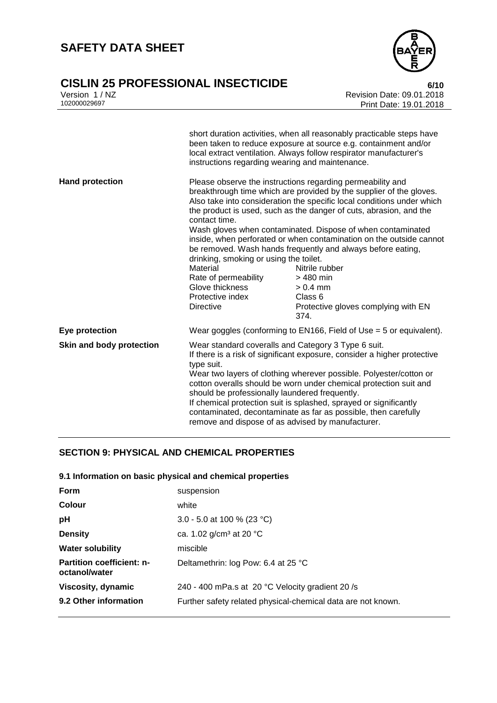### **CISLIN 25 PROFESSIONAL INSECTICIDE 6/10**

| Version 1 / NZ |  |
|----------------|--|
| 102000029697   |  |



Revision Date: 09.01.2018 Print Date: 19.01.2018

|                          | instructions regarding wearing and maintenance.                                                                                                                                                                                                                                                                                                                                                                                                                                                                                        | short duration activities, when all reasonably practicable steps have<br>been taken to reduce exposure at source e.g. containment and/or<br>local extract ventilation. Always follow respirator manufacturer's                                                                                                                                                                                                                                                                                                                                                                                           |
|--------------------------|----------------------------------------------------------------------------------------------------------------------------------------------------------------------------------------------------------------------------------------------------------------------------------------------------------------------------------------------------------------------------------------------------------------------------------------------------------------------------------------------------------------------------------------|----------------------------------------------------------------------------------------------------------------------------------------------------------------------------------------------------------------------------------------------------------------------------------------------------------------------------------------------------------------------------------------------------------------------------------------------------------------------------------------------------------------------------------------------------------------------------------------------------------|
| <b>Hand protection</b>   | contact time.<br>drinking, smoking or using the toilet.<br>Material<br>Rate of permeability<br>Glove thickness<br>Protective index<br><b>Directive</b>                                                                                                                                                                                                                                                                                                                                                                                 | Please observe the instructions regarding permeability and<br>breakthrough time which are provided by the supplier of the gloves.<br>Also take into consideration the specific local conditions under which<br>the product is used, such as the danger of cuts, abrasion, and the<br>Wash gloves when contaminated. Dispose of when contaminated<br>inside, when perforated or when contamination on the outside cannot<br>be removed. Wash hands frequently and always before eating,<br>Nitrile rubber<br>> 480 min<br>$> 0.4$ mm<br>Class <sub>6</sub><br>Protective gloves complying with EN<br>374. |
| Eye protection           |                                                                                                                                                                                                                                                                                                                                                                                                                                                                                                                                        | Wear goggles (conforming to EN166, Field of Use $=$ 5 or equivalent).                                                                                                                                                                                                                                                                                                                                                                                                                                                                                                                                    |
| Skin and body protection | Wear standard coveralls and Category 3 Type 6 suit.<br>If there is a risk of significant exposure, consider a higher protective<br>type suit.<br>Wear two layers of clothing wherever possible. Polyester/cotton or<br>cotton overalls should be worn under chemical protection suit and<br>should be professionally laundered frequently.<br>If chemical protection suit is splashed, sprayed or significantly<br>contaminated, decontaminate as far as possible, then carefully<br>remove and dispose of as advised by manufacturer. |                                                                                                                                                                                                                                                                                                                                                                                                                                                                                                                                                                                                          |

### **SECTION 9: PHYSICAL AND CHEMICAL PROPERTIES**

### **9.1 Information on basic physical and chemical properties**

| <b>Form</b>                                       | suspension                                                   |
|---------------------------------------------------|--------------------------------------------------------------|
| <b>Colour</b>                                     | white                                                        |
| pH                                                | 3.0 - 5.0 at 100 % (23 °C)                                   |
| <b>Density</b>                                    | ca. 1.02 $g/cm^3$ at 20 °C                                   |
| <b>Water solubility</b>                           | miscible                                                     |
| <b>Partition coefficient: n-</b><br>octanol/water | Deltamethrin: log Pow: 6.4 at 25 °C                          |
| Viscosity, dynamic                                | 240 - 400 mPa.s at 20 °C Velocity gradient 20/s              |
| 9.2 Other information                             | Further safety related physical-chemical data are not known. |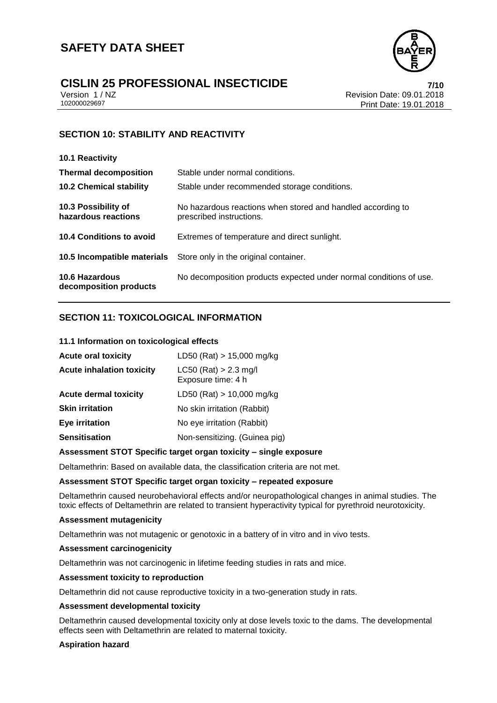

# **CISLIN 25 PROFESSIONAL INSECTICIDE**<br>
Version 1/NZ<br>
Revision Date: 09.01.2018

Version 1 / NZ Revision Date: 09.01.2018 Print Date: 19.01.2018

### **SECTION 10: STABILITY AND REACTIVITY**

| 10.1 Reactivity                                 |                                                                                         |
|-------------------------------------------------|-----------------------------------------------------------------------------------------|
| <b>Thermal decomposition</b>                    | Stable under normal conditions.                                                         |
| <b>10.2 Chemical stability</b>                  | Stable under recommended storage conditions.                                            |
| 10.3 Possibility of<br>hazardous reactions      | No hazardous reactions when stored and handled according to<br>prescribed instructions. |
| 10.4 Conditions to avoid                        | Extremes of temperature and direct sunlight.                                            |
| 10.5 Incompatible materials                     | Store only in the original container.                                                   |
| <b>10.6 Hazardous</b><br>decomposition products | No decomposition products expected under normal conditions of use.                      |

### **SECTION 11: TOXICOLOGICAL INFORMATION**

### **11.1 Information on toxicological effects**

| <b>Acute oral toxicity</b>       | LD50 (Rat) $> 15,000$ mg/kg                   |
|----------------------------------|-----------------------------------------------|
| <b>Acute inhalation toxicity</b> | $LC50$ (Rat) > 2.3 mg/l<br>Exposure time: 4 h |
| <b>Acute dermal toxicity</b>     | LD50 (Rat) $> 10,000$ mg/kg                   |
| <b>Skin irritation</b>           | No skin irritation (Rabbit)                   |
| <b>Eye irritation</b>            | No eye irritation (Rabbit)                    |
| <b>Sensitisation</b>             | Non-sensitizing. (Guinea pig)                 |

#### **Assessment STOT Specific target organ toxicity – single exposure**

Deltamethrin: Based on available data, the classification criteria are not met.

### **Assessment STOT Specific target organ toxicity – repeated exposure**

Deltamethrin caused neurobehavioral effects and/or neuropathological changes in animal studies. The toxic effects of Deltamethrin are related to transient hyperactivity typical for pyrethroid neurotoxicity.

### **Assessment mutagenicity**

Deltamethrin was not mutagenic or genotoxic in a battery of in vitro and in vivo tests.

#### **Assessment carcinogenicity**

Deltamethrin was not carcinogenic in lifetime feeding studies in rats and mice.

### **Assessment toxicity to reproduction**

Deltamethrin did not cause reproductive toxicity in a two-generation study in rats.

#### **Assessment developmental toxicity**

Deltamethrin caused developmental toxicity only at dose levels toxic to the dams. The developmental effects seen with Deltamethrin are related to maternal toxicity.

### **Aspiration hazard**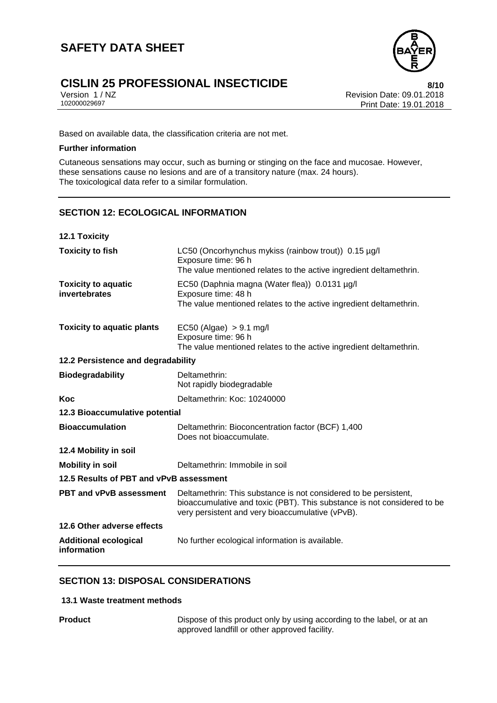

Version 1 / NZ Revision Date: 09.01.2018 Print Date: 19.01.2018

Based on available data, the classification criteria are not met.

### **Further information**

Cutaneous sensations may occur, such as burning or stinging on the face and mucosae. However, these sensations cause no lesions and are of a transitory nature (max. 24 hours). The toxicological data refer to a similar formulation.

### **SECTION 12: ECOLOGICAL INFORMATION**

| <b>12.1 Toxicity</b>                        |                                                                                                                                                                                                 |
|---------------------------------------------|-------------------------------------------------------------------------------------------------------------------------------------------------------------------------------------------------|
| <b>Toxicity to fish</b>                     | LC50 (Oncorhynchus mykiss (rainbow trout)) 0.15 µg/l<br>Exposure time: 96 h<br>The value mentioned relates to the active ingredient deltamethrin.                                               |
| <b>Toxicity to aquatic</b><br>invertebrates | EC50 (Daphnia magna (Water flea)) 0.0131 µg/l<br>Exposure time: 48 h<br>The value mentioned relates to the active ingredient deltamethrin.                                                      |
| <b>Toxicity to aquatic plants</b>           | EC50 (Algae) $> 9.1$ mg/l<br>Exposure time: 96 h<br>The value mentioned relates to the active ingredient deltamethrin.                                                                          |
| 12.2 Persistence and degradability          |                                                                                                                                                                                                 |
| <b>Biodegradability</b>                     | Deltamethrin:<br>Not rapidly biodegradable                                                                                                                                                      |
| Koc                                         | Deltamethrin: Koc: 10240000                                                                                                                                                                     |
| 12.3 Bioaccumulative potential              |                                                                                                                                                                                                 |
| <b>Bioaccumulation</b>                      | Deltamethrin: Bioconcentration factor (BCF) 1,400<br>Does not bioaccumulate.                                                                                                                    |
| 12.4 Mobility in soil                       |                                                                                                                                                                                                 |
| <b>Mobility in soil</b>                     | Deltamethrin: Immobile in soil                                                                                                                                                                  |
| 12.5 Results of PBT and vPvB assessment     |                                                                                                                                                                                                 |
| <b>PBT and vPvB assessment</b>              | Deltamethrin: This substance is not considered to be persistent,<br>bioaccumulative and toxic (PBT). This substance is not considered to be<br>very persistent and very bioaccumulative (vPvB). |
| 12.6 Other adverse effects                  |                                                                                                                                                                                                 |
| <b>Additional ecological</b><br>information | No further ecological information is available.                                                                                                                                                 |

### **SECTION 13: DISPOSAL CONSIDERATIONS**

### **13.1 Waste treatment methods**

**Product Product Dispose of this product only by using according to the label, or at an** approved landfill or other approved facility.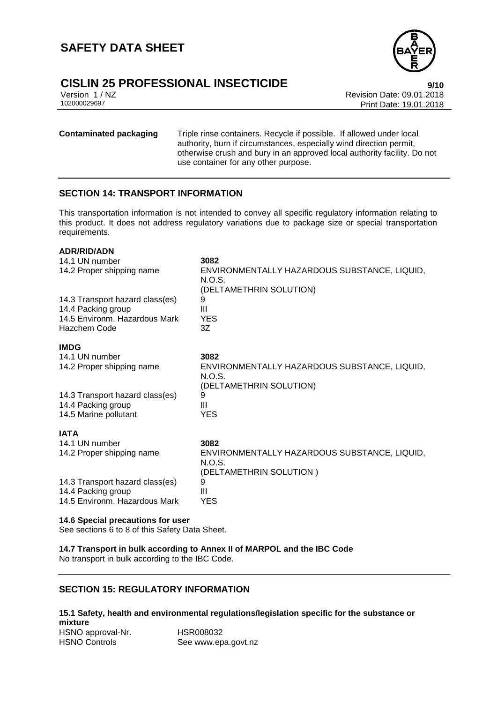# **CISLIN 25 PROFESSIONAL INSECTICIDE**<br>
Version 1/NZ<br>
Revision Date: 09.01.2018

**ADR/RID/ADN**

Version 1 / NZ Revision Date: 09.01.2018 Print Date: 19.01.2018

**Contaminated packaging** Triple rinse containers. Recycle if possible. If allowed under local authority, burn if circumstances, especially wind direction permit, otherwise crush and bury in an approved local authority facility. Do not use container for any other purpose.

### **SECTION 14: TRANSPORT INFORMATION**

This transportation information is not intended to convey all specific regulatory information relating to this product. It does not address regulatory variations due to package size or special transportation requirements.

| ADN/NID/ADIY                    |                                              |
|---------------------------------|----------------------------------------------|
| 14.1 UN number                  | 3082                                         |
| 14.2 Proper shipping name       | ENVIRONMENTALLY HAZARDOUS SUBSTANCE, LIQUID, |
|                                 | N.O.S.                                       |
|                                 | (DELTAMETHRIN SOLUTION)                      |
| 14.3 Transport hazard class(es) | 9                                            |
| 14.4 Packing group              | Ш                                            |
| 14.5 Environm. Hazardous Mark   | <b>YES</b>                                   |
| Hazchem Code                    | 3Z                                           |
| <b>IMDG</b>                     |                                              |
| 14.1 UN number                  | 3082                                         |
| 14.2 Proper shipping name       | ENVIRONMENTALLY HAZARDOUS SUBSTANCE, LIQUID, |
|                                 | N.O.S.                                       |
|                                 | (DELTAMETHRIN SOLUTION)                      |
| 14.3 Transport hazard class(es) | 9                                            |
| 14.4 Packing group              | Ш                                            |
| 14.5 Marine pollutant           | <b>YES</b>                                   |
|                                 |                                              |
| <b>IATA</b>                     |                                              |
| 14.1 UN number                  | 3082                                         |
| 14.2 Proper shipping name       | ENVIRONMENTALLY HAZARDOUS SUBSTANCE, LIQUID, |
|                                 | N.O.S.                                       |
|                                 | (DELTAMETHRIN SOLUTION)                      |
| 14.3 Transport hazard class(es) | 9                                            |
| 14.4 Packing group              | Ш                                            |
| 14.5 Environm, Hazardous Mark   | YES                                          |
|                                 |                                              |

### **14.6 Special precautions for user**

See sections 6 to 8 of this Safety Data Sheet.

**14.7 Transport in bulk according to Annex II of MARPOL and the IBC Code**

No transport in bulk according to the IBC Code.

### **SECTION 15: REGULATORY INFORMATION**

### **15.1 Safety, health and environmental regulations/legislation specific for the substance or mixture** HSNO approval-Nr. HSR008032

HSNO Controls See www.epa.govt.nz